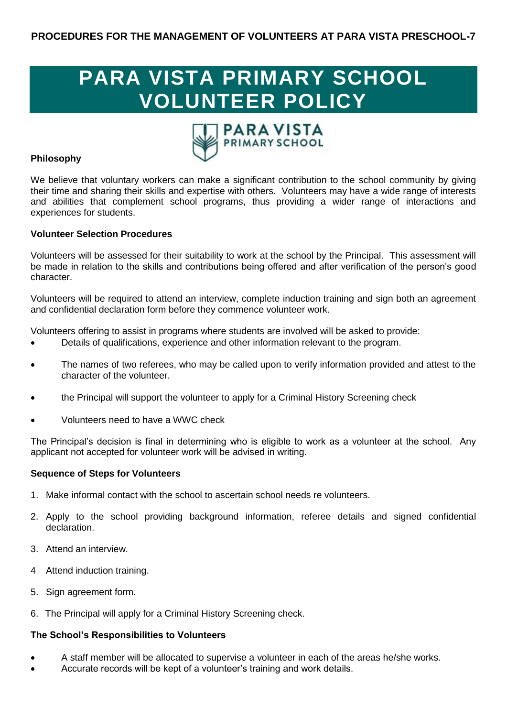# **PARA VISTA PRIMARY SCHOOL VOLUNTEER POLICY**



#### **Philosophy**

We believe that voluntary workers can make a significant contribution to the school community by giving their time and sharing their skills and expertise with others. Volunteers may have a wide range of interests and abilities that complement school programs, thus providing a wider range of interactions and experiences for students.

#### **Volunteer Selection Procedures**

Volunteers will be assessed for their suitability to work at the school by the Principal. This assessment will be made in relation to the skills and contributions being offered and after verification of the person's good character.

Volunteers will be required to attend an interview, complete induction training and sign both an agreement and confidential declaration form before they commence volunteer work.

Volunteers offering to assist in programs where students are involved will be asked to provide:

- Details of qualifications, experience and other information relevant to the program.
- The names of two referees, who may be called upon to verify information provided and attest to the character of the volunteer.
- the Principal will support the volunteer to apply for a Criminal History Screening check
- Volunteers need to have a WWC check

The Principal's decision is final in determining who is eligible to work as a volunteer at the school. Any applicant not accepted for volunteer work will be advised in writing.

#### **Sequence of Steps for Volunteers**

- 1. Make informal contact with the school to ascertain school needs re volunteers.
- 2. Apply to the school providing background information, referee details and signed confidential declaration.
- 3. Attend an interview.
- 4 Attend induction training.
- 5. Sign agreement form.
- 6. The Principal will apply for a Criminal History Screening check.

#### **The School's Responsibilities to Volunteers**

- A staff member will be allocated to supervise a volunteer in each of the areas he/she works.
- Accurate records will be kept of a volunteer's training and work details.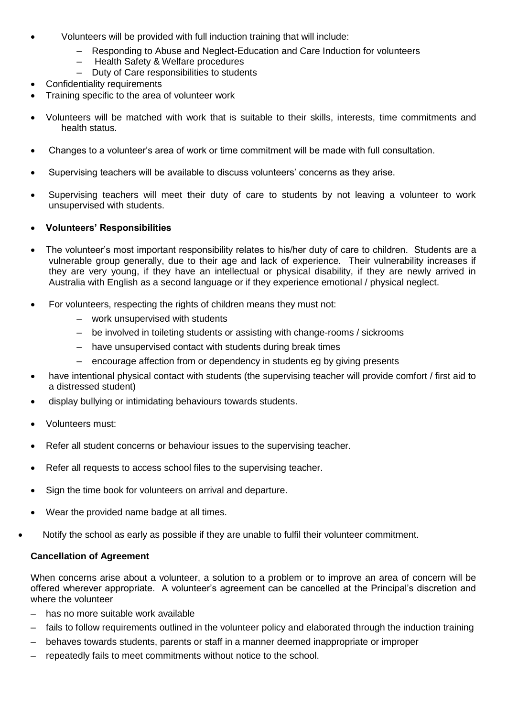- Volunteers will be provided with full induction training that will include:
	- Responding to Abuse and Neglect-Education and Care Induction for volunteers
	- Health Safety & Welfare procedures
	- Duty of Care responsibilities to students
- Confidentiality requirements
- Training specific to the area of volunteer work
- Volunteers will be matched with work that is suitable to their skills, interests, time commitments and health status.
- Changes to a volunteer's area of work or time commitment will be made with full consultation.
- Supervising teachers will be available to discuss volunteers' concerns as they arise.
- Supervising teachers will meet their duty of care to students by not leaving a volunteer to work unsupervised with students.

#### **Volunteers' Responsibilities**

- The volunteer's most important responsibility relates to his/her duty of care to children. Students are a vulnerable group generally, due to their age and lack of experience. Their vulnerability increases if they are very young, if they have an intellectual or physical disability, if they are newly arrived in Australia with English as a second language or if they experience emotional / physical neglect.
- For volunteers, respecting the rights of children means they must not:
	- work unsupervised with students
	- be involved in toileting students or assisting with change-rooms / sickrooms
	- have unsupervised contact with students during break times
	- encourage affection from or dependency in students eg by giving presents
- have intentional physical contact with students (the supervising teacher will provide comfort / first aid to a distressed student)
- display bullying or intimidating behaviours towards students.
- Volunteers must:
- Refer all student concerns or behaviour issues to the supervising teacher.
- Refer all requests to access school files to the supervising teacher.
- Sign the time book for volunteers on arrival and departure.
- Wear the provided name badge at all times.
- Notify the school as early as possible if they are unable to fulfil their volunteer commitment.

#### **Cancellation of Agreement**

When concerns arise about a volunteer, a solution to a problem or to improve an area of concern will be offered wherever appropriate. A volunteer's agreement can be cancelled at the Principal's discretion and where the volunteer

- has no more suitable work available
- fails to follow requirements outlined in the volunteer policy and elaborated through the induction training
- behaves towards students, parents or staff in a manner deemed inappropriate or improper
- repeatedly fails to meet commitments without notice to the school.